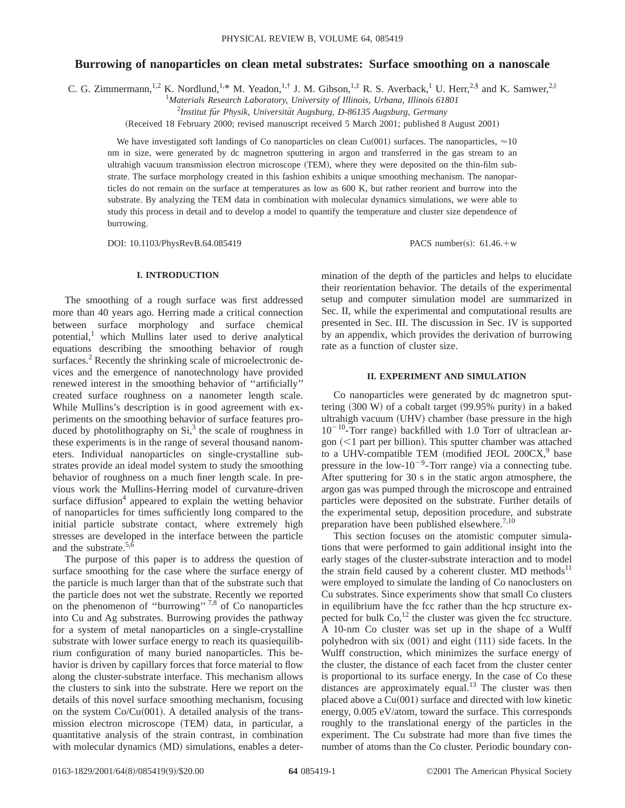# **Burrowing of nanoparticles on clean metal substrates: Surface smoothing on a nanoscale**

C. G. Zimmermann,<sup>1,2</sup> K. Nordlund,<sup>1,\*</sup> M. Yeadon,<sup>1,†</sup> J. M. Gibson,<sup>1,‡</sup> R. S. Averback,<sup>1</sup> U. Herr,<sup>2,§</sup> and K. Samwer,<sup>2,||</sup>

1 *Materials Research Laboratory, University of Illinois, Urbana, Illinois 61801*

<sup>2</sup>Institut für Physik, Universität Augsburg, D-86135 Augsburg, Germany

(Received 18 February 2000; revised manuscript received 5 March 2001; published 8 August 2001)

We have investigated soft landings of Co nanoparticles on clean Cu(001) surfaces. The nanoparticles,  $\approx$ 10 nm in size, were generated by dc magnetron sputtering in argon and transferred in the gas stream to an ultrahigh vacuum transmission electron microscope  $(TEM)$ , where they were deposited on the thin-film substrate. The surface morphology created in this fashion exhibits a unique smoothing mechanism. The nanoparticles do not remain on the surface at temperatures as low as 600 K, but rather reorient and burrow into the substrate. By analyzing the TEM data in combination with molecular dynamics simulations, we were able to study this process in detail and to develop a model to quantify the temperature and cluster size dependence of burrowing.

DOI: 10.1103/PhysRevB.64.085419 PACS number(s): 61.46.+w

## **I. INTRODUCTION**

The smoothing of a rough surface was first addressed more than 40 years ago. Herring made a critical connection between surface morphology and surface chemical potential,<sup>1</sup> which Mullins later used to derive analytical equations describing the smoothing behavior of rough surfaces.<sup>2</sup> Recently the shrinking scale of microelectronic devices and the emergence of nanotechnology have provided renewed interest in the smoothing behavior of ''artificially'' created surface roughness on a nanometer length scale. While Mullins's description is in good agreement with experiments on the smoothing behavior of surface features produced by photolithography on  $Si$ <sup>3</sup>, the scale of roughness in these experiments is in the range of several thousand nanometers. Individual nanoparticles on single-crystalline substrates provide an ideal model system to study the smoothing behavior of roughness on a much finer length scale. In previous work the Mullins-Herring model of curvature-driven surface diffusion<sup>4</sup> appeared to explain the wetting behavior of nanoparticles for times sufficiently long compared to the initial particle substrate contact, where extremely high stresses are developed in the interface between the particle and the substrate.<sup>5,6</sup>

The purpose of this paper is to address the question of surface smoothing for the case where the surface energy of the particle is much larger than that of the substrate such that the particle does not wet the substrate. Recently we reported on the phenomenon of ''burrowing'' 7,8 of Co nanoparticles into Cu and Ag substrates. Burrowing provides the pathway for a system of metal nanoparticles on a single-crystalline substrate with lower surface energy to reach its quasiequilibrium configuration of many buried nanoparticles. This behavior is driven by capillary forces that force material to flow along the cluster-substrate interface. This mechanism allows the clusters to sink into the substrate. Here we report on the details of this novel surface smoothing mechanism, focusing on the system  $Co/Cu(001)$ . A detailed analysis of the transmission electron microscope (TEM) data, in particular, a quantitative analysis of the strain contrast, in combination with molecular dynamics (MD) simulations, enables a determination of the depth of the particles and helps to elucidate their reorientation behavior. The details of the experimental setup and computer simulation model are summarized in Sec. II, while the experimental and computational results are presented in Sec. III. The discussion in Sec. IV is supported by an appendix, which provides the derivation of burrowing rate as a function of cluster size.

#### **II. EXPERIMENT AND SIMULATION**

Co nanoparticles were generated by dc magnetron sputtering  $(300 \text{ W})$  of a cobalt target  $(99.95\% \text{ purity})$  in a baked ultrahigh vacuum (UHV) chamber (base pressure in the high  $10^{-10}$ -Torr range) backfilled with 1.0 Torr of ultraclean argon  $\left($  <1 part per billion). This sputter chamber was attached to a UHV-compatible TEM (modified JEOL  $200CX$ , base pressure in the low- $10^{-9}$ -Torr range) via a connecting tube. After sputtering for 30 s in the static argon atmosphere, the argon gas was pumped through the microscope and entrained particles were deposited on the substrate. Further details of the experimental setup, deposition procedure, and substrate preparation have been published elsewhere. $7,10$ 

This section focuses on the atomistic computer simulations that were performed to gain additional insight into the early stages of the cluster-substrate interaction and to model the strain field caused by a coherent cluster. MD methods<sup>11</sup> were employed to simulate the landing of Co nanoclusters on Cu substrates. Since experiments show that small Co clusters in equilibrium have the fcc rather than the hcp structure expected for bulk  $Co<sub>1</sub><sup>12</sup>$  the cluster was given the fcc structure. A 10-nm Co cluster was set up in the shape of a Wulff polyhedron with six  $(001)$  and eight  $(111)$  side facets. In the Wulff construction, which minimizes the surface energy of the cluster, the distance of each facet from the cluster center is proportional to its surface energy. In the case of Co these distances are approximately equal.<sup>13</sup> The cluster was then placed above a  $Cu(001)$  surface and directed with low kinetic energy, 0.005 eV/atom, toward the surface. This corresponds roughly to the translational energy of the particles in the experiment. The Cu substrate had more than five times the number of atoms than the Co cluster. Periodic boundary con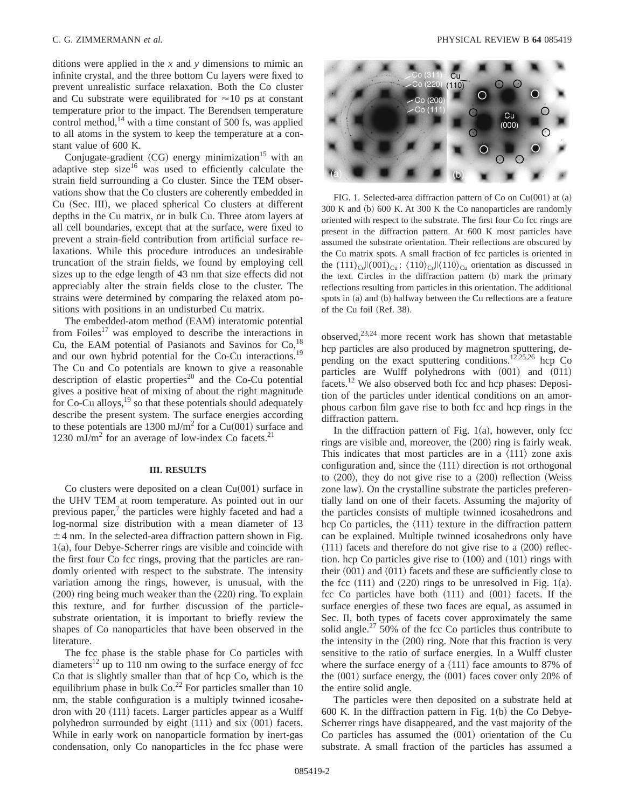ditions were applied in the *x* and *y* dimensions to mimic an infinite crystal, and the three bottom Cu layers were fixed to prevent unrealistic surface relaxation. Both the Co cluster and Cu substrate were equilibrated for  $\approx 10$  ps at constant temperature prior to the impact. The Berendsen temperature control method, $^{14}$  with a time constant of 500 fs, was applied to all atoms in the system to keep the temperature at a constant value of 600 K.

Conjugate-gradient  $(CG)$  energy minimization<sup>15</sup> with an adaptive step size $16$  was used to efficiently calculate the strain field surrounding a Co cluster. Since the TEM observations show that the Co clusters are coherently embedded in Cu (Sec. III), we placed spherical Co clusters at different depths in the Cu matrix, or in bulk Cu. Three atom layers at all cell boundaries, except that at the surface, were fixed to prevent a strain-field contribution from artificial surface relaxations. While this procedure introduces an undesirable truncation of the strain fields, we found by employing cell sizes up to the edge length of 43 nm that size effects did not appreciably alter the strain fields close to the cluster. The strains were determined by comparing the relaxed atom positions with positions in an undisturbed Cu matrix.

The embedded-atom method (EAM) interatomic potential from Foiles $17$  was employed to describe the interactions in Cu, the EAM potential of Pasianots and Savinos for  $Co<sub>18</sub>$ <sup>18</sup> and our own hybrid potential for the Co-Cu interactions.<sup>19</sup> The Cu and Co potentials are known to give a reasonable description of elastic properties<sup>20</sup> and the Co-Cu potential gives a positive heat of mixing of about the right magnitude for Co-Cu alloys, $^{19}$  so that these potentials should adequately describe the present system. The surface energies according to these potentials are 1300 mJ/m<sup>2</sup> for a Cu(001) surface and 1230 mJ/m<sup>2</sup> for an average of low-index Co facets.<sup>21</sup>

#### **III. RESULTS**

Co clusters were deposited on a clean  $Cu(001)$  surface in the UHV TEM at room temperature. As pointed out in our previous paper, $\frac{7}{1}$  the particles were highly faceted and had a log-normal size distribution with a mean diameter of 13  $\pm$ 4 nm. In the selected-area diffraction pattern shown in Fig. 1(a), four Debye-Scherrer rings are visible and coincide with the first four Co fcc rings, proving that the particles are randomly oriented with respect to the substrate. The intensity variation among the rings, however, is unusual, with the  $(200)$  ring being much weaker than the  $(220)$  ring. To explain this texture, and for further discussion of the particlesubstrate orientation, it is important to briefly review the shapes of Co nanoparticles that have been observed in the literature.

The fcc phase is the stable phase for Co particles with diameters<sup>12</sup> up to 110 nm owing to the surface energy of fcc Co that is slightly smaller than that of hcp Co, which is the equilibrium phase in bulk  $Co^{22}$  For particles smaller than 10 nm, the stable configuration is a multiply twinned icosahedron with  $20$  (111) facets. Larger particles appear as a Wulff polyhedron surrounded by eight  $(111)$  and six  $(001)$  facets. While in early work on nanoparticle formation by inert-gas condensation, only Co nanoparticles in the fcc phase were



FIG. 1. Selected-area diffraction pattern of Co on Cu $(001)$  at  $(a)$  $300$  K and (b)  $600$  K. At  $300$  K the Co nanoparticles are randomly oriented with respect to the substrate. The first four Co fcc rings are present in the diffraction pattern. At 600 K most particles have assumed the substrate orientation. Their reflections are obscured by the Cu matrix spots. A small fraction of fcc particles is oriented in the  $(111)_{Co}$  $|(001)_{Cu}$ :  $\langle 110 \rangle_{Co}$  $|(110)_{Cu}$  orientation as discussed in the text. Circles in the diffraction pattern (b) mark the primary reflections resulting from particles in this orientation. The additional spots in (a) and (b) halfway between the Cu reflections are a feature of the Cu foil (Ref. 38).

observed, $2^{3,24}$  more recent work has shown that metastable hcp particles are also produced by magnetron sputtering, depending on the exact sputtering conditions.<sup>12,25,26</sup> hcp Co particles are Wulff polyhedrons with  $(001)$  and  $(011)$ facets.<sup>12</sup> We also observed both fcc and hcp phases: Deposition of the particles under identical conditions on an amorphous carbon film gave rise to both fcc and hcp rings in the diffraction pattern.

In the diffraction pattern of Fig.  $1(a)$ , however, only fcc rings are visible and, moreover, the  $(200)$  ring is fairly weak. This indicates that most particles are in a  $\langle 111 \rangle$  zone axis configuration and, since the  $\langle 111 \rangle$  direction is not orthogonal to  $\langle 200 \rangle$ , they do not give rise to a  $(200)$  reflection (Weiss zone law). On the crystalline substrate the particles preferentially land on one of their facets. Assuming the majority of the particles consists of multiple twinned icosahedrons and hcp Co particles, the  $\langle 111 \rangle$  texture in the diffraction pattern can be explained. Multiple twinned icosahedrons only have  $(111)$  facets and therefore do not give rise to a  $(200)$  reflection. hcp Co particles give rise to  $(100)$  and  $(101)$  rings with their  $(001)$  and  $(011)$  facets and these are sufficiently close to the fcc  $(111)$  and  $(220)$  rings to be unresolved in Fig. 1(a). fcc Co particles have both  $(111)$  and  $(001)$  facets. If the surface energies of these two faces are equal, as assumed in Sec. II, both types of facets cover approximately the same solid angle.<sup>27</sup> 50% of the fcc Co particles thus contribute to the intensity in the  $(200)$  ring. Note that this fraction is very sensitive to the ratio of surface energies. In a Wulff cluster where the surface energy of a  $(111)$  face amounts to 87% of the  $(001)$  surface energy, the  $(001)$  faces cover only 20% of the entire solid angle.

The particles were then deposited on a substrate held at 600 K. In the diffraction pattern in Fig.  $1(b)$  the Co Debye-Scherrer rings have disappeared, and the vast majority of the Co particles has assumed the  $(001)$  orientation of the Cu substrate. A small fraction of the particles has assumed a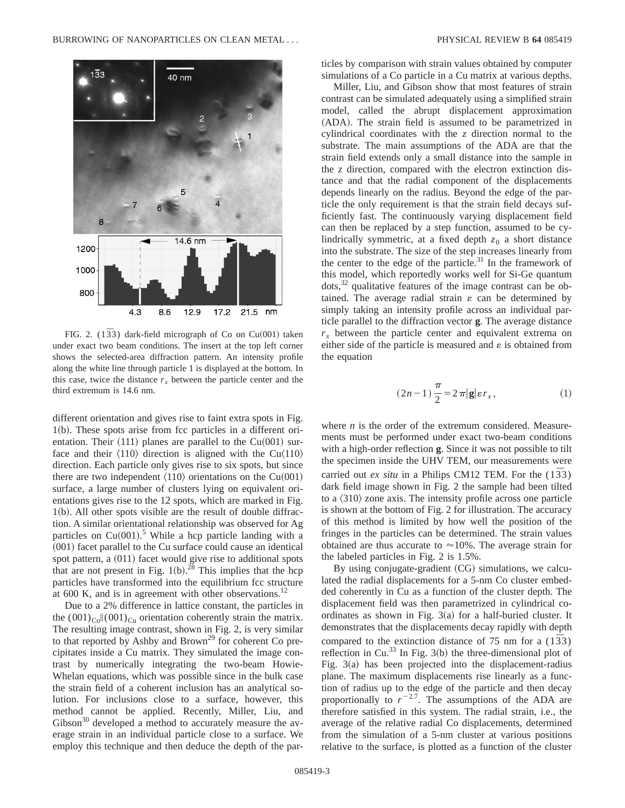

FIG. 2.  $(1\bar{3}3)$  dark-field micrograph of Co on Cu(001) taken under exact two beam conditions. The insert at the top left corner shows the selected-area diffraction pattern. An intensity profile along the white line through particle 1 is displayed at the bottom. In this case, twice the distance  $r<sub>x</sub>$  between the particle center and the third extremum is 14.6 nm.

different orientation and gives rise to faint extra spots in Fig.  $1(b)$ . These spots arise from fcc particles in a different orientation. Their  $(111)$  planes are parallel to the Cu $(001)$  surface and their  $\langle 110 \rangle$  direction is aligned with the Cu $\langle 110 \rangle$ direction. Each particle only gives rise to six spots, but since there are two independent  $\langle 110 \rangle$  orientations on the Cu(001) surface, a large number of clusters lying on equivalent orientations gives rise to the 12 spots, which are marked in Fig.  $1(b)$ . All other spots visible are the result of double diffraction. A similar orientational relationship was observed for Ag particles on  $Cu(001)$ .<sup>5</sup> While a hcp particle landing with a  $(001)$  facet parallel to the Cu surface could cause an identical spot pattern, a  $(011)$  facet would give rise to additional spots that are not present in Fig. 1(b).<sup>28</sup> This implies that the hcp particles have transformed into the equilibrium fcc structure at 600 K, and is in agreement with other observations.<sup>12</sup>

Due to a 2% difference in lattice constant, the particles in the  $(001)_{\text{Co}}$  (001)<sub>Cu</sub> orientation coherently strain the matrix. The resulting image contrast, shown in Fig. 2, is very similar to that reported by Ashby and Brown<sup>29</sup> for coherent Co precipitates inside a Cu matrix. They simulated the image contrast by numerically integrating the two-beam Howie-Whelan equations, which was possible since in the bulk case the strain field of a coherent inclusion has an analytical solution. For inclusions close to a surface, however, this method cannot be applied. Recently, Miller, Liu, and Gibson<sup>30</sup> developed a method to accurately measure the average strain in an individual particle close to a surface. We employ this technique and then deduce the depth of the particles by comparison with strain values obtained by computer simulations of a Co particle in a Cu matrix at various depths.

Miller, Liu, and Gibson show that most features of strain contrast can be simulated adequately using a simplified strain model, called the abrupt displacement approximation (ADA). The strain field is assumed to be parametrized in cylindrical coordinates with the *z* direction normal to the substrate. The main assumptions of the ADA are that the strain field extends only a small distance into the sample in the *z* direction, compared with the electron extinction distance and that the radial component of the displacements depends linearly on the radius. Beyond the edge of the particle the only requirement is that the strain field decays sufficiently fast. The continuously varying displacement field can then be replaced by a step function, assumed to be cylindrically symmetric, at a fixed depth  $z_0$  a short distance into the substrate. The size of the step increases linearly from the center to the edge of the particle. $31$  In the framework of this model, which reportedly works well for Si-Ge quantum  $\dots$ <sup>32</sup> qualitative features of the image contrast can be obtained. The average radial strain  $\varepsilon$  can be determined by simply taking an intensity profile across an individual particle parallel to the diffraction vector **g**. The average distance  $r<sub>x</sub>$  between the particle center and equivalent extrema on either side of the particle is measured and  $\varepsilon$  is obtained from the equation

$$
(2n-1)\frac{\pi}{2} = 2\pi |\mathbf{g}| \varepsilon r_x, \qquad (1)
$$

where *n* is the order of the extremum considered. Measurements must be performed under exact two-beam conditions with a high-order reflection **g**. Since it was not possible to tilt the specimen inside the UHV TEM, our measurements were carried out *ex situ* in a Philips CM12 TEM. For the (13*¯*3) dark field image shown in Fig. 2 the sample had been tilted to a  $\langle 310 \rangle$  zone axis. The intensity profile across one particle is shown at the bottom of Fig. 2 for illustration. The accuracy of this method is limited by how well the position of the fringes in the particles can be determined. The strain values obtained are thus accurate to  $\approx$  10%. The average strain for the labeled particles in Fig. 2 is 1.5%.

By using conjugate-gradient  $(CG)$  simulations, we calculated the radial displacements for a 5-nm Co cluster embedded coherently in Cu as a function of the cluster depth. The displacement field was then parametrized in cylindrical coordinates as shown in Fig.  $3(a)$  for a half-buried cluster. It demonstrates that the displacements decay rapidly with depth compared to the extinction distance of 75 nm for a (13*¯*3) reflection in Cu.<sup>33</sup> In Fig. 3(b) the three-dimensional plot of Fig.  $3(a)$  has been projected into the displacement-radius plane. The maximum displacements rise linearly as a function of radius up to the edge of the particle and then decay proportionally to  $r^{-2.7}$ . The assumptions of the ADA are therefore satisfied in this system. The radial strain, i.e., the average of the relative radial Co displacements, determined from the simulation of a 5-nm cluster at various positions relative to the surface, is plotted as a function of the cluster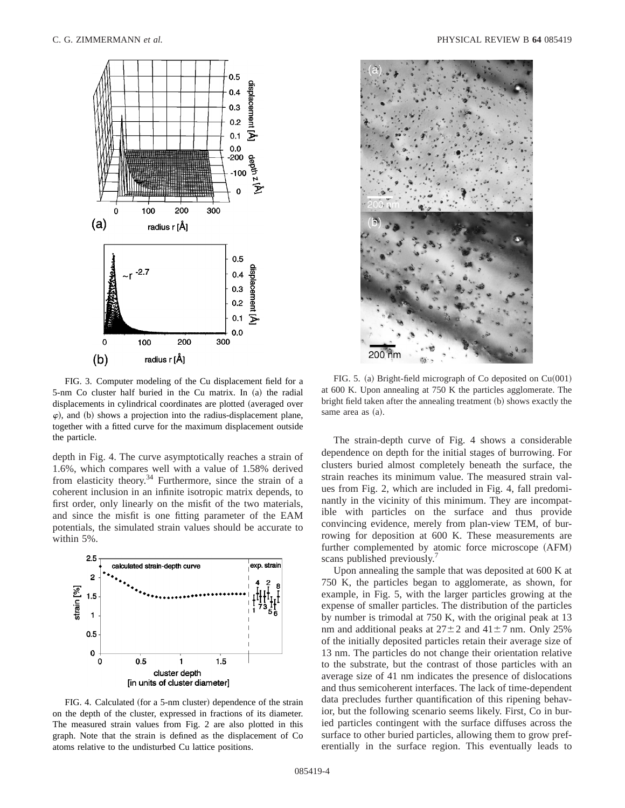

FIG. 3. Computer modeling of the Cu displacement field for a 5-nm Co cluster half buried in the Cu matrix. In  $(a)$  the radial displacements in cylindrical coordinates are plotted (averaged over  $\varphi$ ), and (b) shows a projection into the radius-displacement plane, together with a fitted curve for the maximum displacement outside the particle.

depth in Fig. 4. The curve asymptotically reaches a strain of 1.6%, which compares well with a value of 1.58% derived from elasticity theory.<sup>34</sup> Furthermore, since the strain of a coherent inclusion in an infinite isotropic matrix depends, to first order, only linearly on the misfit of the two materials, and since the misfit is one fitting parameter of the EAM potentials, the simulated strain values should be accurate to within 5%.



FIG. 4. Calculated (for a 5-nm cluster) dependence of the strain on the depth of the cluster, expressed in fractions of its diameter. The measured strain values from Fig. 2 are also plotted in this graph. Note that the strain is defined as the displacement of Co atoms relative to the undisturbed Cu lattice positions.



FIG. 5. (a) Bright-field micrograph of Co deposited on  $Cu(001)$ at 600 K. Upon annealing at 750 K the particles agglomerate. The bright field taken after the annealing treatment  $(b)$  shows exactly the same area as  $(a)$ .

The strain-depth curve of Fig. 4 shows a considerable dependence on depth for the initial stages of burrowing. For clusters buried almost completely beneath the surface, the strain reaches its minimum value. The measured strain values from Fig. 2, which are included in Fig. 4, fall predominantly in the vicinity of this minimum. They are incompatible with particles on the surface and thus provide convincing evidence, merely from plan-view TEM, of burrowing for deposition at 600 K. These measurements are further complemented by atomic force microscope (AFM) scans published previously.<sup>7</sup>

Upon annealing the sample that was deposited at 600 K at 750 K, the particles began to agglomerate, as shown, for example, in Fig. 5, with the larger particles growing at the expense of smaller particles. The distribution of the particles by number is trimodal at 750 K, with the original peak at 13 nm and additional peaks at  $27 \pm 2$  and  $41 \pm 7$  nm. Only 25% of the initially deposited particles retain their average size of 13 nm. The particles do not change their orientation relative to the substrate, but the contrast of those particles with an average size of 41 nm indicates the presence of dislocations and thus semicoherent interfaces. The lack of time-dependent data precludes further quantification of this ripening behavior, but the following scenario seems likely. First, Co in buried particles contingent with the surface diffuses across the surface to other buried particles, allowing them to grow preferentially in the surface region. This eventually leads to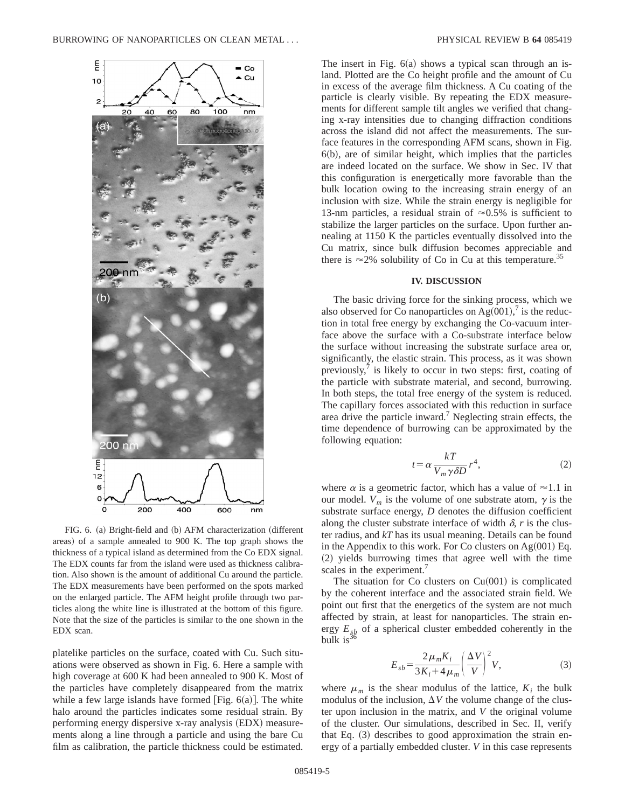

FIG. 6. (a) Bright-field and (b) AFM characterization (different areas) of a sample annealed to 900 K. The top graph shows the thickness of a typical island as determined from the Co EDX signal. The EDX counts far from the island were used as thickness calibration. Also shown is the amount of additional Cu around the particle. The EDX measurements have been performed on the spots marked on the enlarged particle. The AFM height profile through two particles along the white line is illustrated at the bottom of this figure. Note that the size of the particles is similar to the one shown in the EDX scan.

platelike particles on the surface, coated with Cu. Such situations were observed as shown in Fig. 6. Here a sample with high coverage at 600 K had been annealed to 900 K. Most of the particles have completely disappeared from the matrix while a few large islands have formed [Fig.  $6(a)$ ]. The white halo around the particles indicates some residual strain. By performing energy dispersive x-ray analysis (EDX) measurements along a line through a particle and using the bare Cu film as calibration, the particle thickness could be estimated. The insert in Fig.  $6(a)$  shows a typical scan through an island. Plotted are the Co height profile and the amount of Cu in excess of the average film thickness. A Cu coating of the particle is clearly visible. By repeating the EDX measurements for different sample tilt angles we verified that changing x-ray intensities due to changing diffraction conditions across the island did not affect the measurements. The surface features in the corresponding AFM scans, shown in Fig.  $6(b)$ , are of similar height, which implies that the particles are indeed located on the surface. We show in Sec. IV that this configuration is energetically more favorable than the bulk location owing to the increasing strain energy of an inclusion with size. While the strain energy is negligible for 13-nm particles, a residual strain of  $\approx 0.5\%$  is sufficient to stabilize the larger particles on the surface. Upon further annealing at 1150 K the particles eventually dissolved into the Cu matrix, since bulk diffusion becomes appreciable and there is  $\approx$ 2% solubility of Co in Cu at this temperature.<sup>35</sup>

## **IV. DISCUSSION**

The basic driving force for the sinking process, which we also observed for Co nanoparticles on  $Ag(001)$ ,<sup>7</sup> is the reduction in total free energy by exchanging the Co-vacuum interface above the surface with a Co-substrate interface below the surface without increasing the substrate surface area or, significantly, the elastic strain. This process, as it was shown previously, $\frac{7}{7}$  is likely to occur in two steps: first, coating of the particle with substrate material, and second, burrowing. In both steps, the total free energy of the system is reduced. The capillary forces associated with this reduction in surface area drive the particle inward.<sup> $\prime$ </sup> Neglecting strain effects, the time dependence of burrowing can be approximated by the following equation:

$$
t = \alpha \frac{kT}{V_m \gamma \delta D} r^4,\tag{2}
$$

where  $\alpha$  is a geometric factor, which has a value of  $\approx$  1.1 in our model.  $V_m$  is the volume of one substrate atom,  $\gamma$  is the substrate surface energy, *D* denotes the diffusion coefficient along the cluster substrate interface of width  $\delta$ , *r* is the cluster radius, and *kT* has its usual meaning. Details can be found in the Appendix to this work. For Co clusters on  $Ag(001)$  Eq. (2) yields burrowing times that agree well with the time scales in the experiment.<sup>7</sup>

The situation for Co clusters on  $Cu(001)$  is complicated by the coherent interface and the associated strain field. We point out first that the energetics of the system are not much affected by strain, at least for nanoparticles. The strain energy  $E_{sb}$  of a spherical cluster embedded coherently in the bulk is<sup>36</sup>

$$
E_{sb} = \frac{2\,\mu_m K_i}{3K_i + 4\,\mu_m} \left(\frac{\Delta V}{V}\right)^2 V,\tag{3}
$$

where  $\mu_m$  is the shear modulus of the lattice,  $K_i$  the bulk modulus of the inclusion,  $\Delta V$  the volume change of the cluster upon inclusion in the matrix, and *V* the original volume of the cluster. Our simulations, described in Sec. II, verify that Eq.  $(3)$  describes to good approximation the strain energy of a partially embedded cluster. *V* in this case represents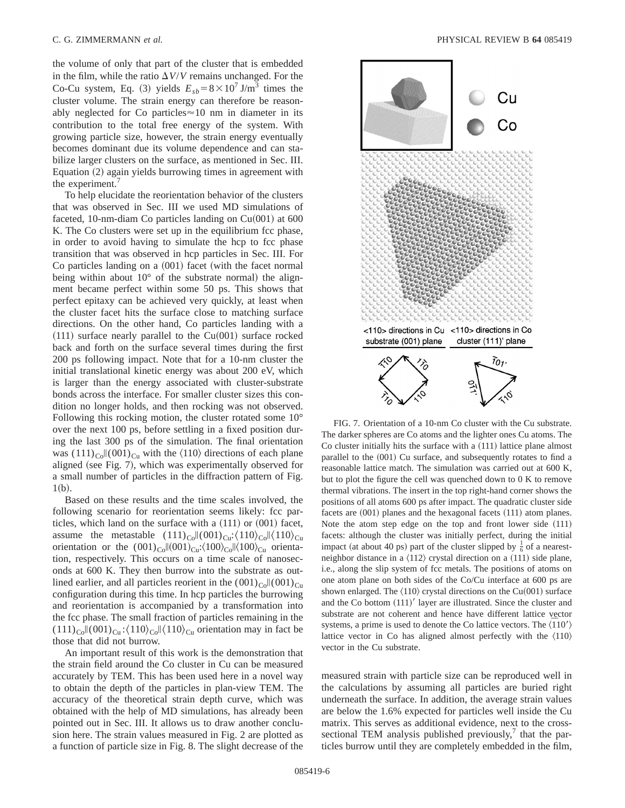the volume of only that part of the cluster that is embedded in the film, while the ratio  $\Delta V/V$  remains unchanged. For the Co-Cu system, Eq. (3) yields  $E_{sb} = 8 \times 10^7 \text{ J/m}^3$  times the cluster volume. The strain energy can therefore be reasonably neglected for Co particles $\approx$ 10 nm in diameter in its contribution to the total free energy of the system. With growing particle size, however, the strain energy eventually becomes dominant due its volume dependence and can stabilize larger clusters on the surface, as mentioned in Sec. III. Equation (2) again yields burrowing times in agreement with the experiment.<sup>7</sup>

To help elucidate the reorientation behavior of the clusters that was observed in Sec. III we used MD simulations of faceted, 10-nm-diam Co particles landing on  $Cu(001)$  at 600 K. The Co clusters were set up in the equilibrium fcc phase, in order to avoid having to simulate the hcp to fcc phase transition that was observed in hcp particles in Sec. III. For Co particles landing on a  $(001)$  facet (with the facet normal being within about  $10^{\circ}$  of the substrate normal) the alignment became perfect within some 50 ps. This shows that perfect epitaxy can be achieved very quickly, at least when the cluster facet hits the surface close to matching surface directions. On the other hand, Co particles landing with a  $(111)$  surface nearly parallel to the Cu $(001)$  surface rocked back and forth on the surface several times during the first 200 ps following impact. Note that for a 10-nm cluster the initial translational kinetic energy was about 200 eV, which is larger than the energy associated with cluster-substrate bonds across the interface. For smaller cluster sizes this condition no longer holds, and then rocking was not observed. Following this rocking motion, the cluster rotated some 10° over the next 100 ps, before settling in a fixed position during the last 300 ps of the simulation. The final orientation was  $(111)_{Co}$  (001)<sub>Cu</sub> with the  $\langle 110 \rangle$  directions of each plane aligned (see Fig. 7), which was experimentally observed for a small number of particles in the diffraction pattern of Fig.  $1(b).$ 

Based on these results and the time scales involved, the following scenario for reorientation seems likely: fcc particles, which land on the surface with a  $(111)$  or  $(001)$  facet, assume the metastable  $(111)_{Co}$  $\|(001)_{Cu}$ : $\langle 110 \rangle_{Co}$  $\|(110)_{Cu}$ orientation or the  $(001)_{Co}$ || $(001)_{Cu}$ : $\langle 100 \rangle_{Co}$ || $\langle 100 \rangle_{Cu}$  orientation, respectively. This occurs on a time scale of nanoseconds at 600 K. They then burrow into the substrate as outlined earlier, and all particles reorient in the  $(001)_{\text{Cu}}$  $(001)_{\text{Cu}}$ configuration during this time. In hcp particles the burrowing and reorientation is accompanied by a transformation into the fcc phase. The small fraction of particles remaining in the  $(111)_{Co}$  $((001)_{Cu}$ : $(110)_{Co}$  $((110)_{Cu}$  orientation may in fact be those that did not burrow.

An important result of this work is the demonstration that the strain field around the Co cluster in Cu can be measured accurately by TEM. This has been used here in a novel way to obtain the depth of the particles in plan-view TEM. The accuracy of the theoretical strain depth curve, which was obtained with the help of MD simulations, has already been pointed out in Sec. III. It allows us to draw another conclusion here. The strain values measured in Fig. 2 are plotted as a function of particle size in Fig. 8. The slight decrease of the



FIG. 7. Orientation of a 10-nm Co cluster with the Cu substrate. The darker spheres are Co atoms and the lighter ones Cu atoms. The Co cluster initially hits the surface with a  $(111)$  lattice plane almost parallel to the  $(001)$  Cu surface, and subsequently rotates to find a reasonable lattice match. The simulation was carried out at 600 K, but to plot the figure the cell was quenched down to 0 K to remove thermal vibrations. The insert in the top right-hand corner shows the positions of all atoms 600 ps after impact. The quadratic cluster side facets are  $(001)$  planes and the hexagonal facets  $(111)$  atom planes. Note the atom step edge on the top and front lower side  $(111)$ facets: although the cluster was initially perfect, during the initial impact (at about 40 ps) part of the cluster slipped by  $\frac{1}{6}$  of a nearestneighbor distance in a  $\langle 112 \rangle$  crystal direction on a  $(111)$  side plane, i.e., along the slip system of fcc metals. The positions of atoms on one atom plane on both sides of the Co/Cu interface at 600 ps are shown enlarged. The  $\langle 110 \rangle$  crystal directions on the Cu(001) surface and the Co bottom  $(111)'$  layer are illustrated. Since the cluster and substrate are not coherent and hence have different lattice vector substrate are not conefer<br>systems, a prime is used to denote the Co lattice vectors. The  $\langle \overline{1}10' \rangle$ lattice vector in Co has aligned almost perfectly with the  $\langle 110 \rangle$ vector in the Cu substrate.

measured strain with particle size can be reproduced well in the calculations by assuming all particles are buried right underneath the surface. In addition, the average strain values are below the 1.6% expected for particles well inside the Cu matrix. This serves as additional evidence, next to the crosssectional TEM analysis published previously, $\frac{7}{7}$  that the particles burrow until they are completely embedded in the film,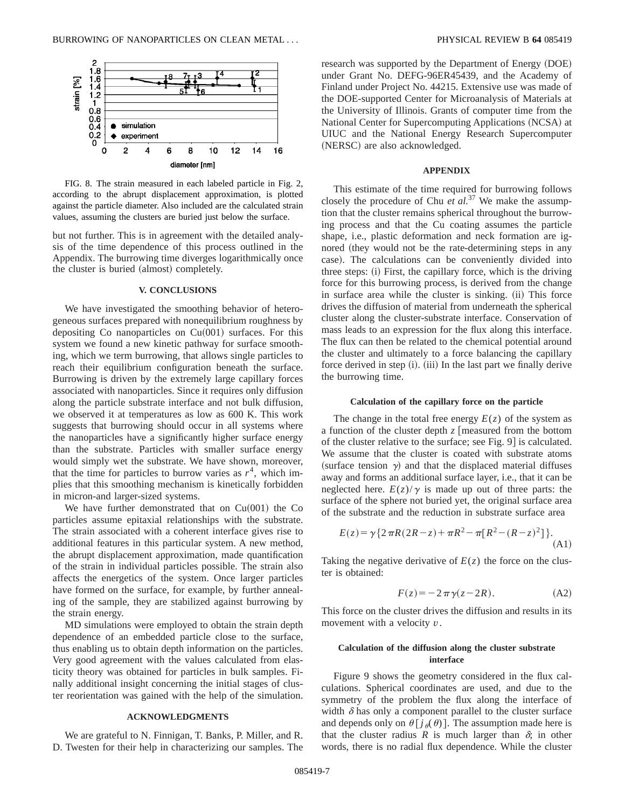

FIG. 8. The strain measured in each labeled particle in Fig. 2, according to the abrupt displacement approximation, is plotted against the particle diameter. Also included are the calculated strain values, assuming the clusters are buried just below the surface.

but not further. This is in agreement with the detailed analysis of the time dependence of this process outlined in the Appendix. The burrowing time diverges logarithmically once the cluster is buried (almost) completely.

#### **V. CONCLUSIONS**

We have investigated the smoothing behavior of heterogeneous surfaces prepared with nonequilibrium roughness by depositing Co nanoparticles on  $Cu(001)$  surfaces. For this system we found a new kinetic pathway for surface smoothing, which we term burrowing, that allows single particles to reach their equilibrium configuration beneath the surface. Burrowing is driven by the extremely large capillary forces associated with nanoparticles. Since it requires only diffusion along the particle substrate interface and not bulk diffusion, we observed it at temperatures as low as 600 K. This work suggests that burrowing should occur in all systems where the nanoparticles have a significantly higher surface energy than the substrate. Particles with smaller surface energy would simply wet the substrate. We have shown, moreover, that the time for particles to burrow varies as  $r<sup>4</sup>$ , which implies that this smoothing mechanism is kinetically forbidden in micron-and larger-sized systems.

We have further demonstrated that on  $Cu(001)$  the Co particles assume epitaxial relationships with the substrate. The strain associated with a coherent interface gives rise to additional features in this particular system. A new method, the abrupt displacement approximation, made quantification of the strain in individual particles possible. The strain also affects the energetics of the system. Once larger particles have formed on the surface, for example, by further annealing of the sample, they are stabilized against burrowing by the strain energy.

MD simulations were employed to obtain the strain depth dependence of an embedded particle close to the surface, thus enabling us to obtain depth information on the particles. Very good agreement with the values calculated from elasticity theory was obtained for particles in bulk samples. Finally additional insight concerning the initial stages of cluster reorientation was gained with the help of the simulation.

## **ACKNOWLEDGMENTS**

We are grateful to N. Finnigan, T. Banks, P. Miller, and R. D. Twesten for their help in characterizing our samples. The research was supported by the Department of Energy (DOE) under Grant No. DEFG-96ER45439, and the Academy of Finland under Project No. 44215. Extensive use was made of the DOE-supported Center for Microanalysis of Materials at the University of Illinois. Grants of computer time from the National Center for Supercomputing Applications (NCSA) at UIUC and the National Energy Research Supercomputer (NERSC) are also acknowledged.

### **APPENDIX**

This estimate of the time required for burrowing follows closely the procedure of Chu *et al.*<sup>37</sup> We make the assumption that the cluster remains spherical throughout the burrowing process and that the Cu coating assumes the particle shape, i.e., plastic deformation and neck formation are ignored (they would not be the rate-determining steps in any case). The calculations can be conveniently divided into three steps:  $(i)$  First, the capillary force, which is the driving force for this burrowing process, is derived from the change in surface area while the cluster is sinking. (ii) This force drives the diffusion of material from underneath the spherical cluster along the cluster-substrate interface. Conservation of mass leads to an expression for the flux along this interface. The flux can then be related to the chemical potential around the cluster and ultimately to a force balancing the capillary force derived in step  $(i)$ .  $(iii)$  In the last part we finally derive the burrowing time.

#### **Calculation of the capillary force on the particle**

The change in the total free energy  $E(z)$  of the system as a function of the cluster depth  $\zeta$  [measured from the bottom of the cluster relative to the surface; see Fig.  $9$ ] is calculated. We assume that the cluster is coated with substrate atoms (surface tension  $\gamma$ ) and that the displaced material diffuses away and forms an additional surface layer, i.e., that it can be neglected here.  $E(z)/\gamma$  is made up out of three parts: the surface of the sphere not buried yet, the original surface area of the substrate and the reduction in substrate surface area

$$
E(z) = \gamma \{ 2\pi R(2R - z) + \pi R^2 - \pi [R^2 - (R - z)^2] \}.
$$
\n(A1)

Taking the negative derivative of  $E(z)$  the force on the cluster is obtained:

$$
F(z) = -2\pi \gamma (z - 2R). \tag{A2}
$$

This force on the cluster drives the diffusion and results in its movement with a velocity *v*.

## **Calculation of the diffusion along the cluster substrate interface**

Figure 9 shows the geometry considered in the flux calculations. Spherical coordinates are used, and due to the symmetry of the problem the flux along the interface of width  $\delta$  has only a component parallel to the cluster surface and depends only on  $\theta[j_\theta(\theta)]$ . The assumption made here is that the cluster radius *R* is much larger than  $\delta$ ; in other words, there is no radial flux dependence. While the cluster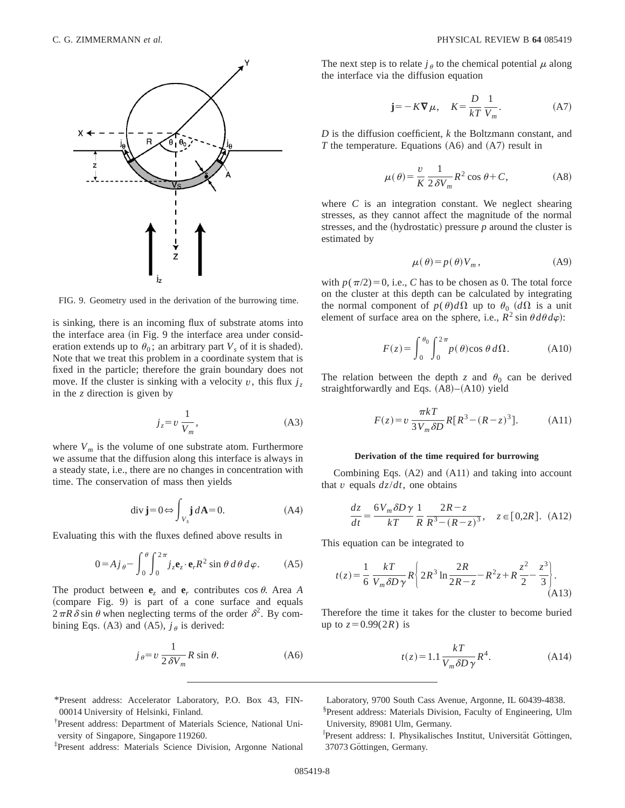

FIG. 9. Geometry used in the derivation of the burrowing time.

is sinking, there is an incoming flux of substrate atoms into the interface area (in Fig. 9 the interface area under consideration extends up to  $\theta_0$ ; an arbitrary part  $V_s$  of it is shaded). Note that we treat this problem in a coordinate system that is fixed in the particle; therefore the grain boundary does not move. If the cluster is sinking with a velocity  $v$ , this flux  $j_z$ in the *z* direction is given by

$$
j_z = v \frac{1}{V_m},\tag{A3}
$$

where  $V_m$  is the volume of one substrate atom. Furthermore we assume that the diffusion along this interface is always in a steady state, i.e., there are no changes in concentration with time. The conservation of mass then yields

$$
\operatorname{div} \mathbf{j} = 0 \Leftrightarrow \int_{V_s} \mathbf{j} \, d\mathbf{A} = 0. \tag{A4}
$$

Evaluating this with the fluxes defined above results in

$$
0 = A j_{\theta} - \int_0^{\theta} \int_0^{2\pi} j_z \mathbf{e}_z \cdot \mathbf{e}_r R^2 \sin \theta \, d\theta \, d\varphi. \tag{A5}
$$

The product between  $e^z$  and  $e^r$  contributes cos  $\theta$ . Area A (compare Fig. 9) is part of a cone surface and equals  $2\pi R\delta$  sin  $\theta$  when neglecting terms of the order  $\delta^2$ . By combining Eqs.  $(A3)$  and  $(A5)$ ,  $j_\theta$  is derived:

$$
j_{\theta} = v \frac{1}{2 \delta V_m} R \sin \theta.
$$
 (A6)

\*Present address: Accelerator Laboratory, P.O. Box 43, FIN-00014 University of Helsinki, Finland.

† Present address: Department of Materials Science, National University of Singapore, Singapore 119260.

‡ Present address: Materials Science Division, Argonne National

The next step is to relate  $j_{\theta}$  to the chemical potential  $\mu$  along the interface via the diffusion equation

$$
\mathbf{j} = -K\nabla\mu, \quad K = \frac{D}{kT} \frac{1}{V_m}.
$$
 (A7)

*D* is the diffusion coefficient, *k* the Boltzmann constant, and *T* the temperature. Equations  $(A6)$  and  $(A7)$  result in

$$
\mu(\theta) = \frac{v}{K} \frac{1}{2 \delta V_m} R^2 \cos \theta + C,\tag{A8}
$$

where *C* is an integration constant. We neglect shearing stresses, as they cannot affect the magnitude of the normal stresses, and the  $(hydrostatic)$  pressure  $p$  around the cluster is estimated by

$$
\mu(\theta) = p(\theta)V_m, \tag{A9}
$$

with  $p(\pi/2)=0$ , i.e., *C* has to be chosen as 0. The total force on the cluster at this depth can be calculated by integrating the normal component of  $p(\theta)d\Omega$  up to  $\theta_0(d\Omega)$  is a unit element of surface area on the sphere, i.e.,  $R^2 \sin \theta d\theta d\varphi$ :

$$
F(z) = \int_0^{\theta_0} \int_0^{2\pi} p(\theta) \cos \theta \, d\Omega.
$$
 (A10)

The relation between the depth *z* and  $\theta_0$  can be derived straightforwardly and Eqs.  $(A8)–(A10)$  yield

$$
F(z) = v \frac{\pi kT}{3V_m \delta D} R[R^3 - (R - z)^3].
$$
 (A11)

#### **Derivation of the time required for burrowing**

Combining Eqs.  $(A2)$  and  $(A11)$  and taking into account that *v* equals  $dz/dt$ , one obtains

$$
\frac{dz}{dt} = \frac{6V_m \delta D \gamma}{kT} \frac{1}{R} \frac{2R - z}{R^3 - (R - z)^3}, \quad z \in [0, 2R].
$$
 (A12)

This equation can be integrated to

$$
t(z) = \frac{1}{6} \frac{kT}{V_m \delta D \gamma} R \left\{ 2R^3 \ln \frac{2R}{2R - z} - R^2 z + R \frac{z^2}{2} - \frac{z^3}{3} \right\}.
$$
\n(A13)

Therefore the time it takes for the cluster to become buried up to  $z = 0.99(2R)$  is

$$
t(z) = 1.1 \frac{kT}{V_m \delta D \gamma} R^4.
$$
 (A14)

Laboratory, 9700 South Cass Avenue, Argonne, IL 60439-4838.

<sup>§</sup> Present address: Materials Division, Faculty of Engineering, Ulm University, 89081 Ulm, Germany.

Present address: I. Physikalisches Institut, Universität Göttingen, 37073 Göttingen, Germany.